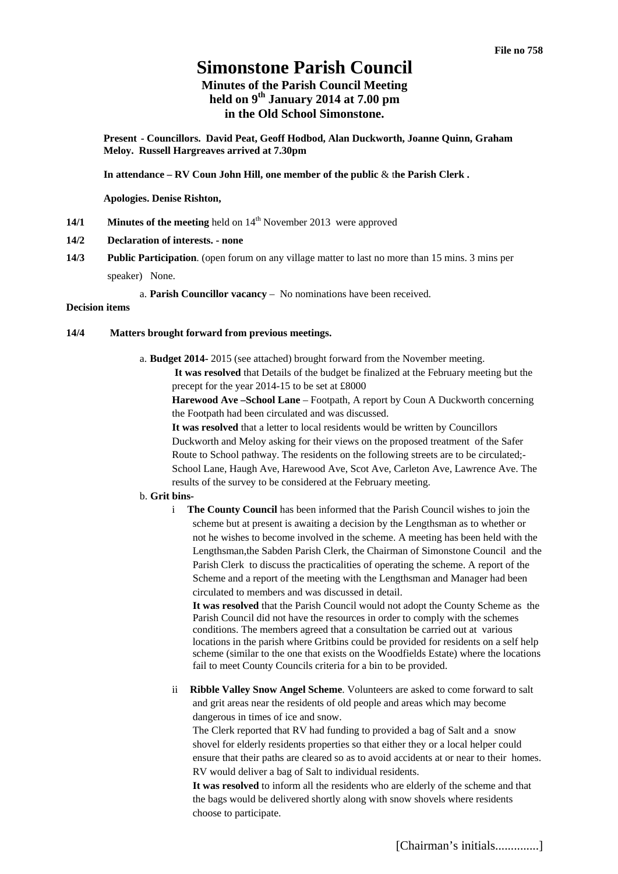# **Simonstone Parish Council**

# **Minutes of the Parish Council Meeting held on 9th January 2014 at 7.00 pm in the Old School Simonstone.**

**Present - Councillors. David Peat, Geoff Hodbod, Alan Duckworth, Joanne Quinn, Graham Meloy. Russell Hargreaves arrived at 7.30pm** 

**In attendance – RV Coun John Hill, one member of the public** & t**he Parish Clerk .** 

**Apologies. Denise Rishton,** 

**14/1 Minutes of the meeting** held on 14<sup>th</sup> November 2013 were approved

#### **14/2 Declaration of interests. - none**

- **14/3 Public Participation**. (open forum on any village matter to last no more than 15 mins. 3 mins per speaker) None.
	- a. **Parish Councillor vacancy** No nominations have been received.

# **Decision items**

#### **14/4 Matters brought forward from previous meetings.**

a. **Budget 2014-** 2015 (see attached) brought forward from the November meeting. **It was resolved** that Details of the budget be finalized at the February meeting but the precept for the year 2014-15 to be set at £8000

**Harewood Ave –School Lane** – Footpath, A report by Coun A Duckworth concerning the Footpath had been circulated and was discussed.

**It was resolved** that a letter to local residents would be written by Councillors Duckworth and Meloy asking for their views on the proposed treatment of the Safer Route to School pathway. The residents on the following streets are to be circulated;- School Lane, Haugh Ave, Harewood Ave, Scot Ave, Carleton Ave, Lawrence Ave. The results of the survey to be considered at the February meeting.

#### b. **Grit bins-**

i **The County Council** has been informed that the Parish Council wishes to join the scheme but at present is awaiting a decision by the Lengthsman as to whether or not he wishes to become involved in the scheme. A meeting has been held with the Lengthsman,the Sabden Parish Clerk, the Chairman of Simonstone Council and the Parish Clerk to discuss the practicalities of operating the scheme. A report of the Scheme and a report of the meeting with the Lengthsman and Manager had been circulated to members and was discussed in detail.

**It was resolved** that the Parish Council would not adopt the County Scheme as the Parish Council did not have the resources in order to comply with the schemes conditions. The members agreed that a consultation be carried out at various locations in the parish where Gritbins could be provided for residents on a self help scheme (similar to the one that exists on the Woodfields Estate) where the locations fail to meet County Councils criteria for a bin to be provided.

ii **Ribble Valley Snow Angel Scheme**. Volunteers are asked to come forward to salt and grit areas near the residents of old people and areas which may become dangerous in times of ice and snow.

The Clerk reported that RV had funding to provided a bag of Salt and a snow shovel for elderly residents properties so that either they or a local helper could ensure that their paths are cleared so as to avoid accidents at or near to their homes. RV would deliver a bag of Salt to individual residents.

**It was resolved** to inform all the residents who are elderly of the scheme and that the bags would be delivered shortly along with snow shovels where residents choose to participate.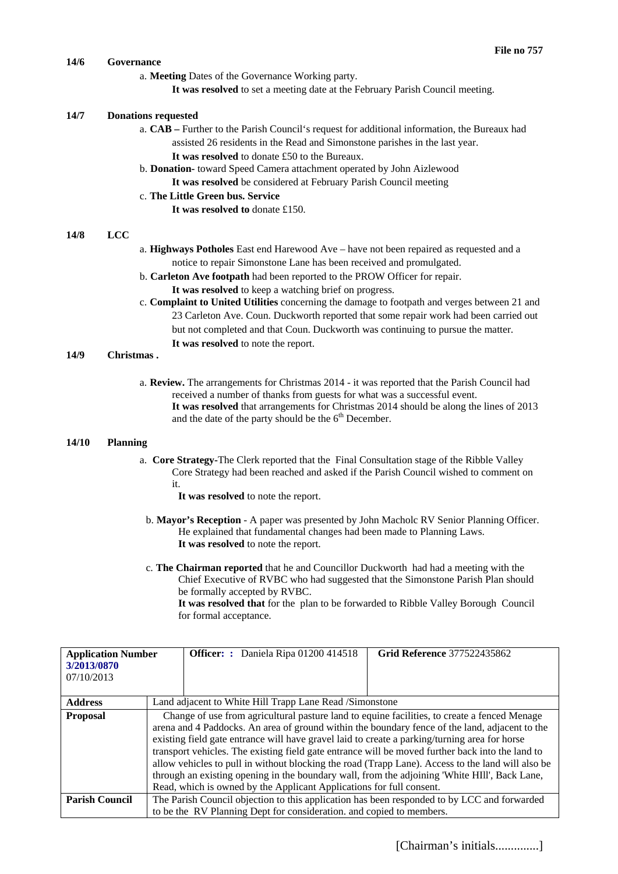# **14/6 Governance**

- a. **Meeting** Dates of the Governance Working party.
	- **It was resolved** to set a meeting date at the February Parish Council meeting.

#### **14/7 Donations requested**

- a. **CAB** Further to the Parish Council's request for additional information, the Bureaux had assisted 26 residents in the Read and Simonstone parishes in the last year. **It was resolved** to donate £50 to the Bureaux.
- b. **Donation-** toward Speed Camera attachment operated by John Aizlewood **It was resolved** be considered at February Parish Council meeting

#### c. **The Little Green bus. Service**

**It was resolved to** donate £150.

#### **14/8 LCC**

- a. **Highways Potholes** East end Harewood Ave have not been repaired as requested and a notice to repair Simonstone Lane has been received and promulgated.
- b. **Carleton Ave footpath** had been reported to the PROW Officer for repair. **It was resolved** to keep a watching brief on progress.
- c. **Complaint to United Utilities** concerning the damage to footpath and verges between 21 and 23 Carleton Ave. Coun. Duckworth reported that some repair work had been carried out but not completed and that Coun. Duckworth was continuing to pursue the matter. **It was resolved** to note the report.

#### **14/9 Christmas .**

a. **Review.** The arrangements for Christmas 2014 - it was reported that the Parish Council had received a number of thanks from guests for what was a successful event. **It was resolved** that arrangements for Christmas 2014 should be along the lines of 2013 and the date of the party should be the 6<sup>th</sup> December.

#### **14/10 Planning**

a. **Core Strategy-**The Clerk reported that the Final Consultation stage of the Ribble Valley Core Strategy had been reached and asked if the Parish Council wished to comment on it.

**It was resolved** to note the report.

- b. **Mayor's Reception** A paper was presented by John Macholc RV Senior Planning Officer. He explained that fundamental changes had been made to Planning Laws. **It was resolved** to note the report.
- c. **The Chairman reported** that he and Councillor Duckworth had had a meeting with the Chief Executive of RVBC who had suggested that the Simonstone Parish Plan should be formally accepted by RVBC.

**It was resolved that** for the plan to be forwarded to Ribble Valley Borough Council for formal acceptance.

| <b>Application Number</b><br>3/2013/0870<br>07/10/2013 |                                                                                                                                                                                                                                                                                                                                                                                                                                                                                                                                                                                                                                                                                   | <b>Officer:</b> : Daniela Ripa 01200 414518 | <b>Grid Reference 377522435862</b> |  |
|--------------------------------------------------------|-----------------------------------------------------------------------------------------------------------------------------------------------------------------------------------------------------------------------------------------------------------------------------------------------------------------------------------------------------------------------------------------------------------------------------------------------------------------------------------------------------------------------------------------------------------------------------------------------------------------------------------------------------------------------------------|---------------------------------------------|------------------------------------|--|
| <b>Address</b>                                         | Land adjacent to White Hill Trapp Lane Read /Simonstone                                                                                                                                                                                                                                                                                                                                                                                                                                                                                                                                                                                                                           |                                             |                                    |  |
| <b>Proposal</b>                                        | Change of use from agricultural pasture land to equine facilities, to create a fenced Menage<br>arena and 4 Paddocks. An area of ground within the boundary fence of the land, adjacent to the<br>existing field gate entrance will have gravel laid to create a parking/turning area for horse<br>transport vehicles. The existing field gate entrance will be moved further back into the land to<br>allow vehicles to pull in without blocking the road (Trapp Lane). Access to the land will also be<br>through an existing opening in the boundary wall, from the adjoining 'White HIII', Back Lane,<br>Read, which is owned by the Applicant Applications for full consent. |                                             |                                    |  |
| <b>Parish Council</b>                                  | The Parish Council objection to this application has been responded to by LCC and forwarded                                                                                                                                                                                                                                                                                                                                                                                                                                                                                                                                                                                       |                                             |                                    |  |
|                                                        | to be the RV Planning Dept for consideration. and copied to members.                                                                                                                                                                                                                                                                                                                                                                                                                                                                                                                                                                                                              |                                             |                                    |  |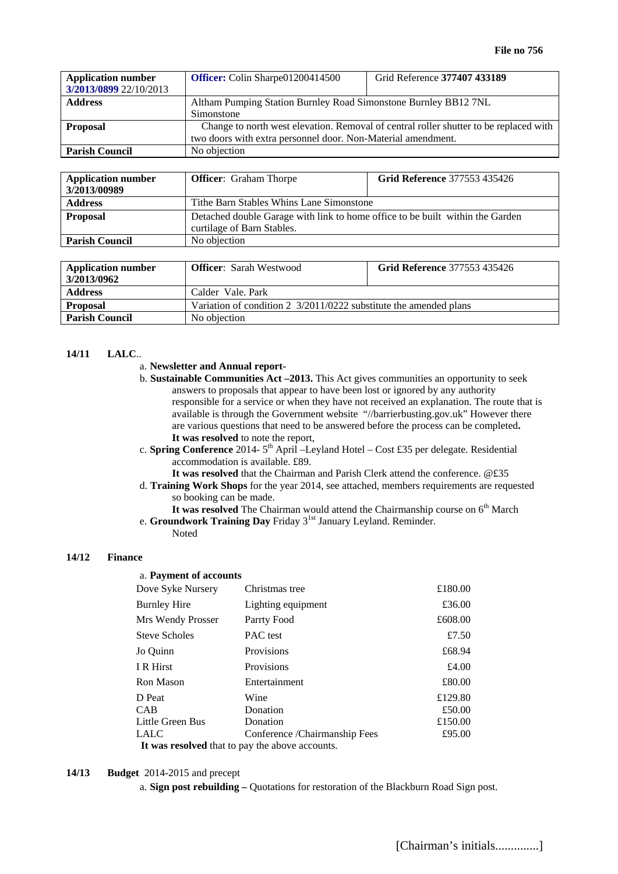| <b>Application number</b><br>3/2013/0899 22/10/2013 | Officer: Colin Sharpe01200414500                                                      | Grid Reference 377407 433189 |  |
|-----------------------------------------------------|---------------------------------------------------------------------------------------|------------------------------|--|
| <b>Address</b>                                      | Altham Pumping Station Burnley Road Simonstone Burnley BB12 7NL                       |                              |  |
|                                                     | Simonstone                                                                            |                              |  |
| <b>Proposal</b>                                     | Change to north west elevation. Removal of central roller shutter to be replaced with |                              |  |
|                                                     | two doors with extra personnel door. Non-Material amendment.                          |                              |  |
| <b>Parish Council</b>                               | No objection                                                                          |                              |  |

| <b>Application number</b><br>3/2013/00989 | <b>Officer:</b> Graham Thorpe                                                                               | <b>Grid Reference 377553 435426</b> |  |
|-------------------------------------------|-------------------------------------------------------------------------------------------------------------|-------------------------------------|--|
| <b>Address</b>                            | Tithe Barn Stables Whins Lane Simonstone                                                                    |                                     |  |
| <b>Proposal</b>                           | Detached double Garage with link to home office to be built within the Garden<br>curtilage of Barn Stables. |                                     |  |
| <b>Parish Council</b>                     | No objection                                                                                                |                                     |  |

| <b>Application number</b><br>3/2013/0962 | <b>Officer:</b> Sarah Westwood                                    | <b>Grid Reference 377553 435426</b> |  |
|------------------------------------------|-------------------------------------------------------------------|-------------------------------------|--|
| <b>Address</b>                           | Calder Vale, Park                                                 |                                     |  |
| <b>Proposal</b>                          | Variation of condition 2 3/2011/0222 substitute the amended plans |                                     |  |
| <b>Parish Council</b>                    | No objection                                                      |                                     |  |

# **14/11 LALC**..

#### a. **Newsletter and Annual report-**

- b. **Sustainable Communities Act –2013.** This Act gives communities an opportunity to seek answers to proposals that appear to have been lost or ignored by any authority responsible for a service or when they have not received an explanation. The route that is available is through the Government website "//barrierbusting.gov.uk" However there are various questions that need to be answered before the process can be completed**. It was resolved** to note the report,
- c. **Spring Conference** 2014-  $5<sup>th</sup>$  April –Leyland Hotel Cost £35 per delegate. Residential accommodation is available. £89.

**It was resolved** that the Chairman and Parish Clerk attend the conference. @£35

- d. **Training Work Shops** for the year 2014, see attached, members requirements are requested so booking can be made.
- It was resolved The Chairman would attend the Chairmanship course on 6<sup>th</sup> March e. **Groundwork Training Day** Friday 3<sup>1st</sup> January Leyland. Reminder.

Noted

#### **14/12 Finance**

# a. **Payment of accounts**

|                                                 | Dove Syke Nursery    | Christmas tree                | £180.00 |  |  |  |
|-------------------------------------------------|----------------------|-------------------------------|---------|--|--|--|
|                                                 | <b>Burnley Hire</b>  | Lighting equipment            | £36.00  |  |  |  |
|                                                 | Mrs Wendy Prosser    | Parrty Food                   | £608.00 |  |  |  |
|                                                 | <b>Steve Scholes</b> | PAC test                      | £7.50   |  |  |  |
|                                                 | Jo Quinn             | <b>Provisions</b>             | £68.94  |  |  |  |
|                                                 | I R Hirst            | <b>Provisions</b>             | £4.00   |  |  |  |
|                                                 | <b>Ron Mason</b>     | Entertainment                 | £80.00  |  |  |  |
|                                                 | D Peat               | Wine                          | £129.80 |  |  |  |
|                                                 | <b>CAB</b>           | Donation                      | £50.00  |  |  |  |
|                                                 | Little Green Bus     | Donation                      | £150.00 |  |  |  |
|                                                 | <b>LALC</b>          | Conference /Chairmanship Fees | £95.00  |  |  |  |
| It was resolved that to pay the above accounts. |                      |                               |         |  |  |  |

**14/13 Budget** 2014-2015 and precept

a. **Sign post rebuilding –** Quotations for restoration of the Blackburn Road Sign post.